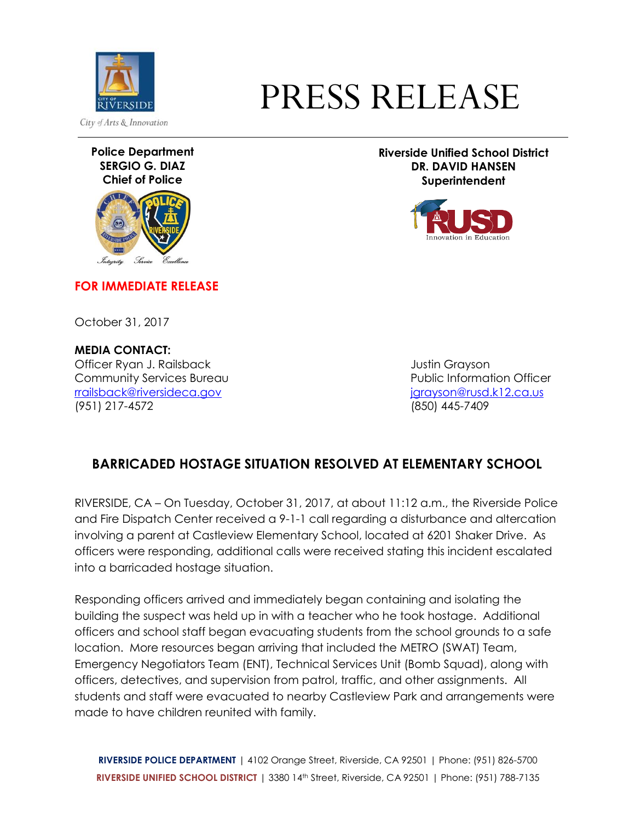

## PRESS RELEASE

**Police Department SERGIO G. DIAZ Chief of Police**



**FOR IMMEDIATE RELEASE**

October 31, 2017

**MEDIA CONTACT:** Officer Ryan J. Railsback Justin Grayson **Community Services Bureau Community Services Bureau Community Services Bureau Community Services** [rrailsback@riversideca.gov](mailto:rrailsback@riversideca.gov) [jgrayson@rusd.k12.ca.us](mailto:jgrayson@rusd.k12.ca.us) (951) 217-4572 (850) 445-7409

**Riverside Unified School District DR. DAVID HANSEN Superintendent**



## **BARRICADED HOSTAGE SITUATION RESOLVED AT ELEMENTARY SCHOOL**

RIVERSIDE, CA – On Tuesday, October 31, 2017, at about 11:12 a.m., the Riverside Police and Fire Dispatch Center received a 9-1-1 call regarding a disturbance and altercation involving a parent at Castleview Elementary School, located at 6201 Shaker Drive. As officers were responding, additional calls were received stating this incident escalated into a barricaded hostage situation.

Responding officers arrived and immediately began containing and isolating the building the suspect was held up in with a teacher who he took hostage. Additional officers and school staff began evacuating students from the school grounds to a safe location. More resources began arriving that included the METRO (SWAT) Team, Emergency Negotiators Team (ENT), Technical Services Unit (Bomb Squad), along with officers, detectives, and supervision from patrol, traffic, and other assignments. All students and staff were evacuated to nearby Castleview Park and arrangements were made to have children reunited with family.

**RIVERSIDE POLICE DEPARTMENT** | 4102 Orange Street, Riverside, CA 92501 | Phone: (951) 826-5700 **RIVERSIDE UNIFIED SCHOOL DISTRICT** | 3380 14th Street, Riverside, CA 92501 | Phone: (951) 788-7135